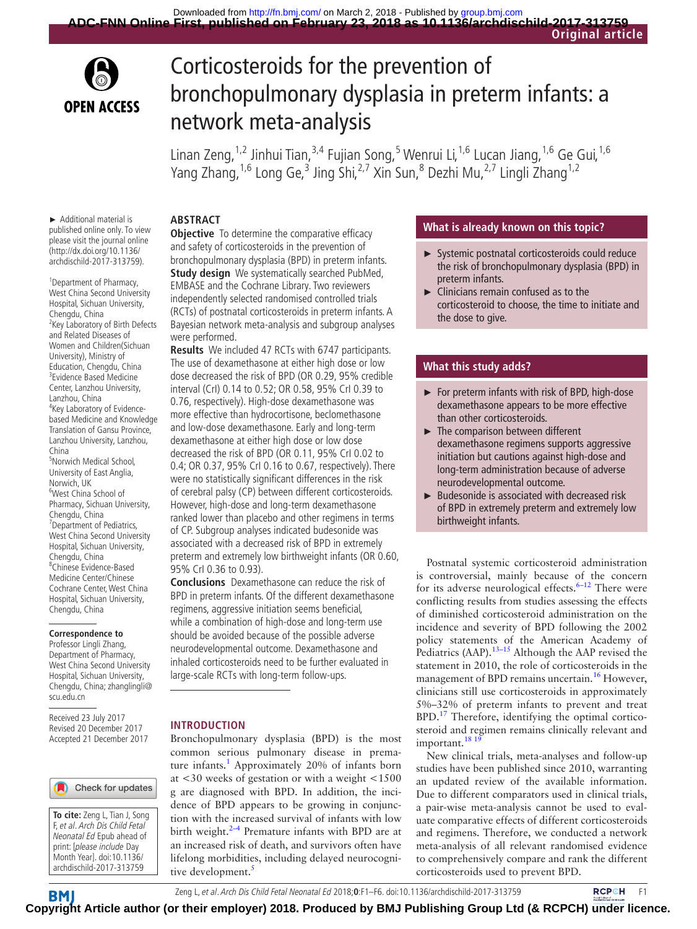

# Corticosteroids for the prevention of bronchopulmonary dysplasia in preterm infants: a network meta-analysis

Linan Zeng, <sup>1,2</sup> Jinhui Tian, <sup>3,4</sup> Fujian Song, <sup>5</sup> Wenrui Li, <sup>1,6</sup> Lucan Jiang, <sup>1,6</sup> Ge Gui, <sup>1,6</sup> Yang Zhang,<sup>1,6</sup> Long Ge,<sup>3</sup> Jing Shi,<sup>2,7</sup> Xin Sun,<sup>8</sup> Dezhi Mu,<sup>2,7</sup> Lingli Zhang<sup>1,2</sup>

► Additional material is published online only. To view please visit the journal online (http://dx.doi.org/10.1136/ archdischild-2017-313759).

<sup>1</sup> Department of Pharmacy, West China Second University Hospital, Sichuan University, Chengdu, China <sup>2</sup> Key Laboratory of Birth Defects and Related Diseases of Women and Children(Sichuan University), Ministry of Education, Chengdu, China 3 Evidence Based Medicine Center, Lanzhou University, Lanzhou, China <sup>4</sup>Key Laboratory of Evidencebased Medicine and Knowledge Translation of Gansu Province, Lanzhou University, Lanzhou, China 5 Norwich Medical School, University of East Anglia, Norwich, UK 6 West China School of Pharmacy, Sichuan University, Chengdu, China <sup>7</sup> Department of Pediatrics, West China Second University Hospital, Sichuan University, Chengdu, China 8 Chinese Evidence-Based Medicine Center/Chinese Cochrane Center, West China Hospital, Sichuan University, Chengdu, China

#### **Correspondence to**

Professor Lingli Zhang, Department of Pharmacy, West China Second University Hospital, Sichuan University, Chengdu, China; zhanglingli@ scu.edu.cn

Received 23 July 2017 Revised 20 December 2017 Accepted 21 December 2017

#### Check for updates



#### **Abstract**

**Objective** To determine the comparative efficacy and safety of corticosteroids in the prevention of bronchopulmonary dysplasia (BPD) in preterm infants. **Study design** We systematically searched PubMed, EMBASE and the Cochrane Library. Two reviewers independently selected randomised controlled trials (RCTs) of postnatal corticosteroids in preterm infants. A Bayesian network meta-analysis and subgroup analyses were performed.

**Results** We included 47 RCTs with 6747 participants. The use of dexamethasone at either high dose or low dose decreased the risk of BPD (OR 0.29, 95% credible interval (CrI) 0.14 to 0.52; OR 0.58, 95% CrI 0.39 to 0.76, respectively). High-dose dexamethasone was more effective than hydrocortisone, beclomethasone and low-dose dexamethasone. Early and long-term dexamethasone at either high dose or low dose decreased the risk of BPD (OR 0.11, 95% CrI 0.02 to 0.4; OR 0.37, 95% CrI 0.16 to 0.67, respectively). There were no statistically significant differences in the risk of cerebral palsy (CP) between different corticosteroids. However, high-dose and long-term dexamethasone ranked lower than placebo and other regimens in terms of CP. Subgroup analyses indicated budesonide was associated with a decreased risk of BPD in extremely preterm and extremely low birthweight infants (OR 0.60, 95% CrI 0.36 to 0.93).

**Conclusions** Dexamethasone can reduce the risk of BPD in preterm infants. Of the different dexamethasone regimens, aggressive initiation seems beneficial, while a combination of high-dose and long-term use should be avoided because of the possible adverse neurodevelopmental outcome. Dexamethasone and inhaled corticosteroids need to be further evaluated in large-scale RCTs with long-term follow-ups.

#### **Introduction**

Bronchopulmonary dysplasia (BPD) is the most common serious pulmonary disease in premature infants.<sup>1</sup> Approximately 20% of infants born at <30 weeks of gestation or with a weight <1500 g are diagnosed with BPD. In addition, the incidence of BPD appears to be growing in conjunction with the increased survival of infants with low birth weight. $2-4$  Premature infants with BPD are at an increased risk of death, and survivors often have lifelong morbidities, including delayed neurocogni-tive development.<sup>[5](#page-4-2)</sup>

#### **What is already known on this topic?**

- ► Systemic postnatal corticosteroids could reduce the risk of bronchopulmonary dysplasia (BPD) in preterm infants.
- $\blacktriangleright$  Clinicians remain confused as to the corticosteroid to choose, the time to initiate and the dose to give.

#### **What this study adds?**

- ► For preterm infants with risk of BPD, high-dose dexamethasone appears to be more effective than other corticosteroids.
- ► The comparison between different dexamethasone regimens supports aggressive initiation but cautions against high-dose and long-term administration because of adverse neurodevelopmental outcome.
- ► Budesonide is associated with decreased risk of BPD in extremely preterm and extremely low birthweight infants.

Postnatal systemic corticosteroid administration is controversial, mainly because of the concern for its adverse neurological effects.<sup>6–12</sup> There were conflicting results from studies assessing the effects of diminished corticosteroid administration on the incidence and severity of BPD following the 2002 policy statements of the American Academy of Pediatrics (AAP).<sup>13-15</sup> Although the AAP revised the statement in 2010, the role of corticosteroids in the management of BPD remains uncertain.<sup>16</sup> However, clinicians still use corticosteroids in approximately 5%–32% of preterm infants to prevent and treat BPD.[17](#page-4-6) Therefore, identifying the optimal corticosteroid and regimen remains clinically relevant and important.<sup>18</sup><sup>19</sup>

New clinical trials, meta-analyses and follow-up studies have been published since 2010, warranting an updated review of the available information. Due to different comparators used in clinical trials, a pair-wise meta-analysis cannot be used to evaluate comparative effects of different corticosteroids and regimens. Therefore, we conducted a network meta-analysis of all relevant randomised evidence to comprehensively compare and rank the different corticosteroids used to prevent BPD.

ZengL, et al. Arch Dis Child Fetal Neonatal Ed 2018;0:F1–F6. doi:10.1136/archdischild-2017-313759 **FRCPCH** F1

**BM Co[pyrigh](http://fn.bmj.com/)t Article author (or their employer) 2018. Produced by BMJ Publishing Group Ltd (& RCPCH) under licence.**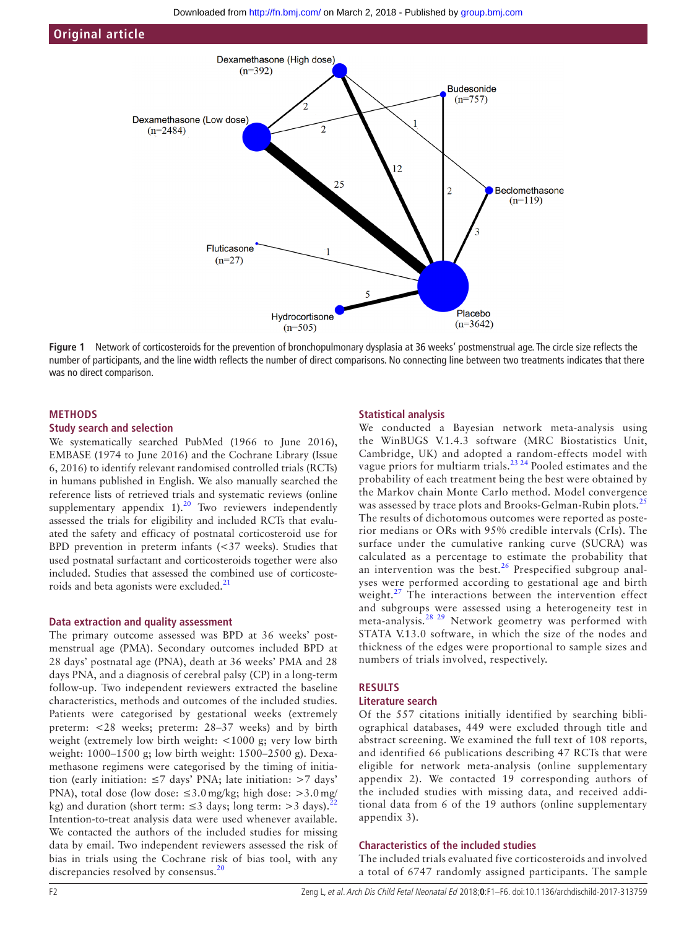

<span id="page-1-0"></span>**Figure 1** Network of corticosteroids for the prevention of bronchopulmonary dysplasia at 36 weeks' postmenstrual age. The circle size reflects the number of participants, and the line width reflects the number of direct comparisons. No connecting line between two treatments indicates that there was no direct comparison.

#### **Methods**

#### **Study search and selection**

We systematically searched PubMed (1966 to June 2016), EMBASE (1974 to June 2016) and the Cochrane Library (Issue 6, 2016) to identify relevant randomised controlled trials (RCTs) in humans published in English. We also manually searched the reference lists of retrieved trials and systematic reviews (online supplementary appendix  $1$ ).<sup>[20](#page-5-0)</sup> Two reviewers independently assessed the trials for eligibility and included RCTs that evaluated the safety and efficacy of postnatal corticosteroid use for BPD prevention in preterm infants (<37 weeks). Studies that used postnatal surfactant and corticosteroids together were also included. Studies that assessed the combined use of corticoste-roids and beta agonists were excluded.<sup>[21](#page-5-1)</sup>

#### **Data extraction and quality assessment**

The primary outcome assessed was BPD at 36 weeks' postmenstrual age (PMA). Secondary outcomes included BPD at 28 days' postnatal age (PNA), death at 36 weeks' PMA and 28 days PNA, and a diagnosis of cerebral palsy (CP) in a long-term follow-up. Two independent reviewers extracted the baseline characteristics, methods and outcomes of the included studies. Patients were categorised by gestational weeks (extremely preterm: <28 weeks; preterm: 28–37 weeks) and by birth weight (extremely low birth weight: <1000 g; very low birth weight: 1000–1500 g; low birth weight: 1500–2500 g). Dexamethasone regimens were categorised by the timing of initiation (early initiation: ≤7 days' PNA; late initiation: >7 days' PNA), total dose (low dose:  $\leq 3.0$  mg/kg; high dose:  $>3.0$  mg/ kg) and duration (short term:  $\leq$ 3 days; long term:  $>$ 3 days).<sup>2</sup> Intention-to-treat analysis data were used whenever available. We contacted the authors of the included studies for missing data by email. Two independent reviewers assessed the risk of bias in trials using the Cochrane risk of bias tool, with any discrepancies resolved by consensus.<sup>[20](#page-5-0)</sup>

#### **Statistical analysis**

We conducted a Bayesian network meta-analysis using the WinBUGS V.1.4.3 software (MRC Biostatistics Unit, Cambridge, UK) and adopted a random-effects model with vague priors for multiarm trials.<sup>23, 24</sup> Pooled estimates and the probability of each treatment being the best were obtained by the Markov chain Monte Carlo method. Model convergence was assessed by trace plots and Brooks-Gelman-Rubin plots.<sup>[25](#page-5-4)</sup> The results of dichotomous outcomes were reported as posterior medians or ORs with 95% credible intervals (CrIs). The surface under the cumulative ranking curve (SUCRA) was calculated as a percentage to estimate the probability that an intervention was the best.<sup>[26](#page-5-5)</sup> Prespecified subgroup analyses were performed according to gestational age and birth weight.<sup>27</sup> The interactions between the intervention effect and subgroups were assessed using a heterogeneity test in meta-analysis.[28 29](#page-5-7) Network geometry was performed with STATA V.13.0 software, in which the size of the nodes and thickness of the edges were proportional to sample sizes and numbers of trials involved, respectively.

#### **Results**

# **Literature search**

Of the 557 citations initially identified by searching bibliographical databases, 449 were excluded through title and abstract screening. We examined the full text of 108 reports, and identified 66 publications describing 47 RCTs that were eligible for network meta-analysis (online [supplementary](https://dx.doi.org/10.1136/archdischild-2017-313759) [appendix 2](https://dx.doi.org/10.1136/archdischild-2017-313759)). We contacted 19 corresponding authors of the included studies with missing data, and received additional data from 6 of the 19 authors (online [supplementary](https://dx.doi.org/10.1136/archdischild-2017-313759) [appendix 3](https://dx.doi.org/10.1136/archdischild-2017-313759)).

#### **Characteristics of the included studies**

The included trials evaluated five corticosteroids and involved a total of 6747 randomly assigned participants. The sample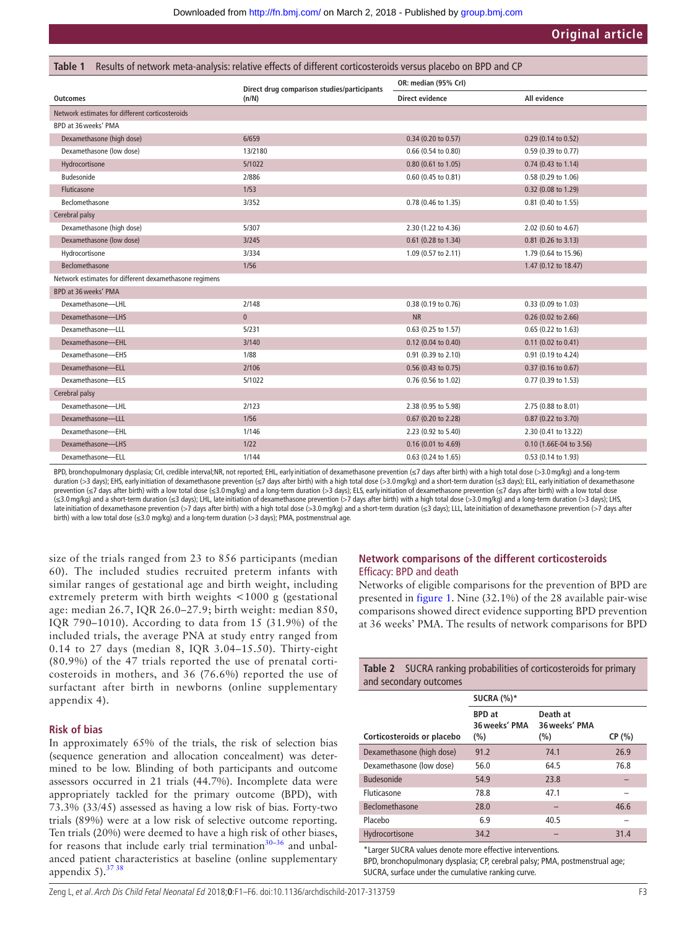<span id="page-2-0"></span>

| Results of network meta-analysis: relative effects of different corticosteroids versus placebo on BPD and CP<br>Table 1 |                                                      |                        |                               |  |  |
|-------------------------------------------------------------------------------------------------------------------------|------------------------------------------------------|------------------------|-------------------------------|--|--|
| <b>Outcomes</b>                                                                                                         | Direct drug comparison studies/participants<br>(n/N) | OR: median (95% Crl)   |                               |  |  |
|                                                                                                                         |                                                      | <b>Direct evidence</b> | All evidence                  |  |  |
| Network estimates for different corticosteroids                                                                         |                                                      |                        |                               |  |  |
| BPD at 36 weeks' PMA                                                                                                    |                                                      |                        |                               |  |  |
| Dexamethasone (high dose)                                                                                               | 6/659                                                | 0.34 (0.20 to 0.57)    | $0.29$ (0.14 to 0.52)         |  |  |
| Dexamethasone (low dose)                                                                                                | 13/2180                                              | 0.66 (0.54 to 0.80)    | 0.59 (0.39 to 0.77)           |  |  |
| Hydrocortisone                                                                                                          | 5/1022                                               | 0.80 (0.61 to 1.05)    | $0.74$ (0.43 to 1.14)         |  |  |
| Budesonide                                                                                                              | 2/886                                                | 0.60 (0.45 to 0.81)    | 0.58 (0.29 to 1.06)           |  |  |
| <b>Fluticasone</b>                                                                                                      | 1/53                                                 |                        | 0.32 (0.08 to 1.29)           |  |  |
| Beclomethasone                                                                                                          | 3/352                                                | 0.78 (0.46 to 1.35)    | 0.81 (0.40 to 1.55)           |  |  |
| Cerebral palsy                                                                                                          |                                                      |                        |                               |  |  |
| Dexamethasone (high dose)                                                                                               | 5/307                                                | 2.30 (1.22 to 4.36)    | 2.02 (0.60 to 4.67)           |  |  |
| Dexamethasone (low dose)                                                                                                | 3/245                                                | 0.61 (0.28 to 1.34)    | 0.81 (0.26 to 3.13)           |  |  |
| Hydrocortisone                                                                                                          | 3/334                                                | 1.09 (0.57 to 2.11)    | 1.79 (0.64 to 15.96)          |  |  |
| Beclomethasone                                                                                                          | 1/56                                                 |                        | 1.47 (0.12 to 18.47)          |  |  |
| Network estimates for different dexamethasone regimens                                                                  |                                                      |                        |                               |  |  |
| BPD at 36 weeks' PMA                                                                                                    |                                                      |                        |                               |  |  |
| Dexamethasone-LHL                                                                                                       | 2/148                                                | 0.38 (0.19 to 0.76)    | 0.33 (0.09 to 1.03)           |  |  |
| Dexamethasone-LHS                                                                                                       | $\bf{0}$                                             | <b>NR</b>              | $0.26$ (0.02 to 2.66)         |  |  |
| Dexamethasone-LLL                                                                                                       | 5/231                                                | 0.63 (0.25 to 1.57)    | $0.65$ (0.22 to 1.63)         |  |  |
| Dexamethasone-EHL                                                                                                       | 3/140                                                | 0.12 (0.04 to 0.40)    | $0.11$ (0.02 to 0.41)         |  |  |
| Dexamethasone-EHS                                                                                                       | 1/88                                                 | 0.91 (0.39 to 2.10)    | 0.91 (0.19 to 4.24)           |  |  |
| Dexamethasone-ELL                                                                                                       | 2/106                                                | 0.56 (0.43 to 0.75)    | $0.37(0.16 \text{ to } 0.67)$ |  |  |
| Dexamethasone-ELS                                                                                                       | 5/1022                                               | 0.76 (0.56 to 1.02)    | 0.77 (0.39 to 1.53)           |  |  |
| Cerebral palsy                                                                                                          |                                                      |                        |                               |  |  |
| Dexamethasone-LHL                                                                                                       | 2/123                                                | 2.38 (0.95 to 5.98)    | 2.75 (0.88 to 8.01)           |  |  |
| Dexamethasone-LLL                                                                                                       | 1/56                                                 | 0.67 (0.20 to 2.28)    | 0.87 (0.22 to 3.70)           |  |  |
| Dexamethasone-EHL                                                                                                       | 1/146                                                | 2.23 (0.92 to 5.40)    | 2.30 (0.41 to 13.22)          |  |  |
| Dexamethasone-LHS                                                                                                       | $1/22$                                               | 0.16 (0.01 to 4.69)    | 0.10 (1.66E-04 to 3.56)       |  |  |
| Dexamethasone-ELL                                                                                                       | 1/144                                                | 0.63 (0.24 to 1.65)    | 0.53 (0.14 to 1.93)           |  |  |

BPD, bronchopulmonary dysplasia; CrI, credible interval:NR, not reported; EHL, early initiation of dexamethasone prevention (≤7 days after birth) with a high total dose (>3.0 mg/kg) and a long-term duration (>3 days); EHS, early initiation of dexamethasone prevention (≤7 days after birth) with a high total dose (>3.0 mg/kg) and a short-term duration (≤3 days); ELL, early initiation of dexamethasone prevention (≤7 days after birth) with a low total dose (≤3.0 mg/kg) and a long-term duration (>3 days); ELS, early initation of dexamethasone prevention (≤7 days after birth) with a low total dose<br>(≤3.0 mg/kg) and a short late initiation of dexamethasone prevention (>7 days after birth) with a high total dose (>3.0 mg/kg) and a short-term duration (≤3 days); LLL, late initiation of dexamethasone prevention (>7 days after birth) with a low total dose (≤3.0 mg/kg) and a long-term duration (>3 days); PMA, postmenstrual age.

size of the trials ranged from 23 to 856 participants (median 60). The included studies recruited preterm infants with similar ranges of gestational age and birth weight, including extremely preterm with birth weights <1000 g (gestational age: median 26.7, IQR 26.0–27.9; birth weight: median 850, IQR 790–1010). According to data from 15 (31.9%) of the included trials, the average PNA at study entry ranged from 0.14 to 27 days (median 8, IQR 3.04–15.50). Thirty-eight (80.9%) of the 47 trials reported the use of prenatal corticosteroids in mothers, and 36 (76.6%) reported the use of surfactant after birth in newborns (online [supplementary](https://dx.doi.org/10.1136/archdischild-2017-313759)  [appendix 4\)](https://dx.doi.org/10.1136/archdischild-2017-313759).

#### **Risk of bias**

In approximately 65% of the trials, the risk of selection bias (sequence generation and allocation concealment) was determined to be low. Blinding of both participants and outcome assessors occurred in 21 trials (44.7%). Incomplete data were appropriately tackled for the primary outcome (BPD), with 73.3% (33/45) assessed as having a low risk of bias. Forty-two trials (89%) were at a low risk of selective outcome reporting. Ten trials (20%) were deemed to have a high risk of other biases, for reasons that include early trial termination $30-36$  and unbalanced patient characteristics at baseline (online [supplementary](https://dx.doi.org/10.1136/archdischild-2017-313759)  appendix  $5$ ).  $3738$ 

# **Network comparisons of the different corticosteroids** Efficacy: BPD and death

Networks of eligible comparisons for the prevention of BPD are presented in [figure](#page-1-0) 1. Nine (32.1%) of the 28 available pair-wise comparisons showed direct evidence supporting BPD prevention at 36 weeks' PMA. The results of network comparisons for BPD

<span id="page-2-1"></span>

| <b>Table 2</b> SUCRA ranking probabilities of corticosteroids for primary<br>and secondary outcomes |                                       |                                  |        |  |
|-----------------------------------------------------------------------------------------------------|---------------------------------------|----------------------------------|--------|--|
|                                                                                                     | SUCRA $(%)^*$                         |                                  |        |  |
| Corticosteroids or placebo                                                                          | <b>BPD</b> at<br>36 weeks' PMA<br>(%) | Death at<br>36 weeks' PMA<br>(%) | CP (%) |  |
| Dexamethasone (high dose)                                                                           | 91.2                                  | 74.1                             | 26.9   |  |
| Dexamethasone (low dose)                                                                            | 56.0                                  | 64.5                             | 76.8   |  |
| <b>Budesonide</b>                                                                                   | 54.9                                  | 23.8                             |        |  |
| <b>Fluticasone</b>                                                                                  | 78.8                                  | 47.1                             |        |  |
| Beclomethasone                                                                                      | 28.0                                  |                                  | 46.6   |  |
| Placebo                                                                                             | 6.9                                   | 40.5                             |        |  |
| Hydrocortisone                                                                                      | 34.2                                  |                                  | 31.4   |  |

\*Larger SUCRA values denote more effective interventions. BPD, bronchopulmonary dysplasia; CP, cerebral palsy; PMA, postmenstrual age; SUCRA, surface under the cumulative ranking curve.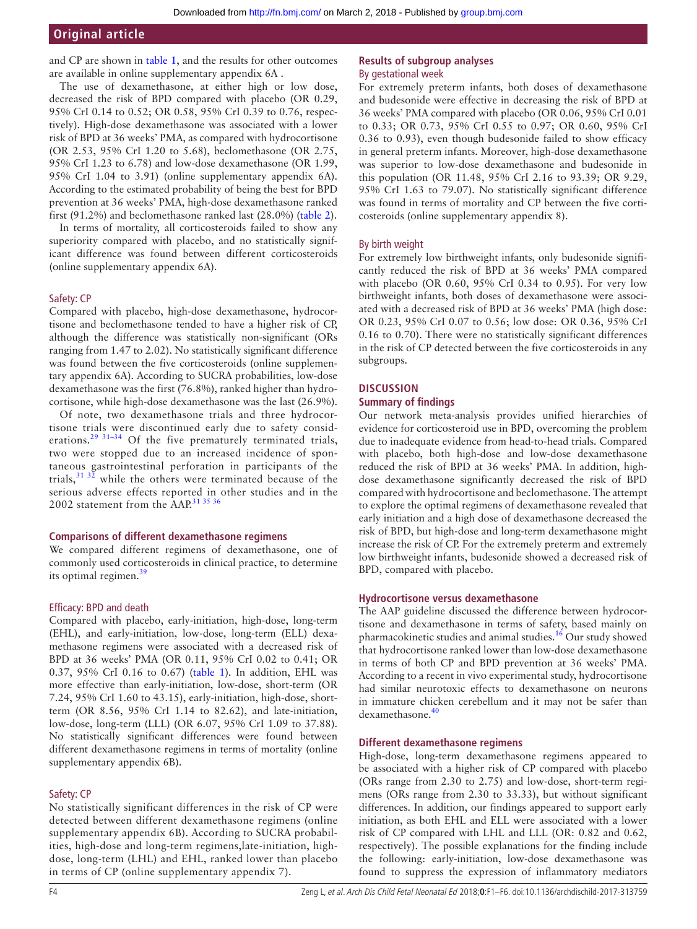and CP are shown in [table](#page-2-0) 1, and the results for other outcomes are available in online [supplementary appendix 6A](https://dx.doi.org/10.1136/archdischild-2017-313759) .

The use of dexamethasone, at either high or low dose, decreased the risk of BPD compared with placebo (OR 0.29, 95% CrI 0.14 to 0.52; OR 0.58, 95% CrI 0.39 to 0.76, respectively). High-dose dexamethasone was associated with a lower risk of BPD at 36 weeks' PMA, as compared with hydrocortisone (OR 2.53, 95% CrI 1.20 to 5.68), beclomethasone (OR 2.75, 95% CrI 1.23 to 6.78) and low-dose dexamethasone (OR 1.99, 95% CrI 1.04 to 3.91) (online [supplementary appendix 6A](https://dx.doi.org/10.1136/archdischild-2017-313759)). According to the estimated probability of being the best for BPD prevention at 36 weeks' PMA, high-dose dexamethasone ranked first (91.2%) and beclomethasone ranked last (28.0%) ([table](#page-2-1) 2).

In terms of mortality, all corticosteroids failed to show any superiority compared with placebo, and no statistically significant difference was found between different corticosteroids (online [supplementary appendix 6A](https://dx.doi.org/10.1136/archdischild-2017-313759)).

#### Safety: CP

Compared with placebo, high-dose dexamethasone, hydrocortisone and beclomethasone tended to have a higher risk of CP, although the difference was statistically non-significant (ORs ranging from 1.47 to 2.02). No statistically significant difference was found between the five corticosteroids (online [supplemen](https://dx.doi.org/10.1136/archdischild-2017-313759)[tary appendix 6A](https://dx.doi.org/10.1136/archdischild-2017-313759)). According to SUCRA probabilities, low-dose dexamethasone was the first (76.8%), ranked higher than hydrocortisone, while high-dose dexamethasone was the last (26.9%).

Of note, two dexamethasone trials and three hydrocortisone trials were discontinued early due to safety considerations.<sup>29 31-34</sup> Of the five prematurely terminated trials, two were stopped due to an increased incidence of spontaneous gastrointestinal perforation in participants of the trials,  $313\overline{2}$  while the others were terminated because of the serious adverse effects reported in other studies and in the 2002 statement from the AAP.<sup>[31 35 36](#page-5-11)</sup>

#### **Comparisons of different dexamethasone regimens**

We compared different regimens of dexamethasone, one of commonly used corticosteroids in clinical practice, to determine its optimal regimen. $39$ 

#### Efficacy: BPD and death

Compared with placebo, early-initiation, high-dose, long-term (EHL), and early-initiation, low-dose, long-term (ELL) dexamethasone regimens were associated with a decreased risk of BPD at 36 weeks' PMA (OR 0.11, 95% CrI 0.02 to 0.41; OR 0.37, 95% CrI 0.16 to 0.67) ([table](#page-2-0) 1). In addition, EHL was more effective than early-initiation, low-dose, short-term (OR 7.24, 95% CrI 1.60 to 43.15), early-initiation, high-dose, shortterm (OR 8.56, 95% CrI 1.14 to 82.62), and late-initiation, low-dose, long-term (LLL) (OR 6.07, 95% CrI 1.09 to 37.88). No statistically significant differences were found between different dexamethasone regimens in terms of mortality (online [supplementary appendix 6B\)](https://dx.doi.org/10.1136/archdischild-2017-313759).

### Safety: CP

No statistically significant differences in the risk of CP were detected between different dexamethasone regimens (online [supplementary appendix 6B](https://dx.doi.org/10.1136/archdischild-2017-313759)). According to SUCRA probabilities, high-dose and long-term regimens,late-initiation, highdose, long-term (LHL) and EHL, ranked lower than placebo in terms of CP (online [supplementary appendix 7](https://dx.doi.org/10.1136/archdischild-2017-313759)).

#### **Results of subgroup analyses** By gestational week

For extremely preterm infants, both doses of dexamethasone and budesonide were effective in decreasing the risk of BPD at 36 weeks' PMA compared with placebo (OR 0.06, 95% CrI 0.01 to 0.33; OR 0.73, 95% CrI 0.55 to 0.97; OR 0.60, 95% CrI 0.36 to 0.93), even though budesonide failed to show efficacy in general preterm infants. Moreover, high-dose dexamethasone was superior to low-dose dexamethasone and budesonide in this population (OR 11.48, 95% CrI 2.16 to 93.39; OR 9.29, 95% CrI 1.63 to 79.07). No statistically significant difference was found in terms of mortality and CP between the five corticosteroids (online [supplementary appendix 8](https://dx.doi.org/10.1136/archdischild-2017-313759)).

#### By birth weight

For extremely low birthweight infants, only budesonide significantly reduced the risk of BPD at 36 weeks' PMA compared with placebo (OR 0.60, 95% CrI 0.34 to 0.95). For very low birthweight infants, both doses of dexamethasone were associated with a decreased risk of BPD at 36 weeks' PMA (high dose: OR 0.23, 95% CrI 0.07 to 0.56; low dose: OR 0.36, 95% CrI 0.16 to 0.70). There were no statistically significant differences in the risk of CP detected between the five corticosteroids in any subgroups.

# **Discussion**

#### **Summary of findings**

Our network meta-analysis provides unified hierarchies of evidence for corticosteroid use in BPD, overcoming the problem due to inadequate evidence from head-to-head trials. Compared with placebo, both high-dose and low-dose dexamethasone reduced the risk of BPD at 36 weeks' PMA. In addition, highdose dexamethasone significantly decreased the risk of BPD compared with hydrocortisone and beclomethasone. The attempt to explore the optimal regimens of dexamethasone revealed that early initiation and a high dose of dexamethasone decreased the risk of BPD, but high-dose and long-term dexamethasone might increase the risk of CP. For the extremely preterm and extremely low birthweight infants, budesonide showed a decreased risk of BPD, compared with placebo.

#### **Hydrocortisone versus dexamethasone**

The AAP guideline discussed the difference between hydrocortisone and dexamethasone in terms of safety, based mainly on pharmacokinetic studies and animal studies.[16](#page-4-5) Our study showed that hydrocortisone ranked lower than low-dose dexamethasone in terms of both CP and BPD prevention at 36 weeks' PMA. According to a recent in vivo experimental study, hydrocortisone had similar neurotoxic effects to dexamethasone on neurons in immature chicken cerebellum and it may not be safer than dexamethasone.[40](#page-5-13)

#### **Different dexamethasone regimens**

High-dose, long-term dexamethasone regimens appeared to be associated with a higher risk of CP compared with placebo (ORs range from 2.30 to 2.75) and low-dose, short-term regimens (ORs range from 2.30 to 33.33), but without significant differences. In addition, our findings appeared to support early initiation, as both EHL and ELL were associated with a lower risk of CP compared with LHL and LLL (OR: 0.82 and 0.62, respectively). The possible explanations for the finding include the following: early-initiation, low-dose dexamethasone was found to suppress the expression of inflammatory mediators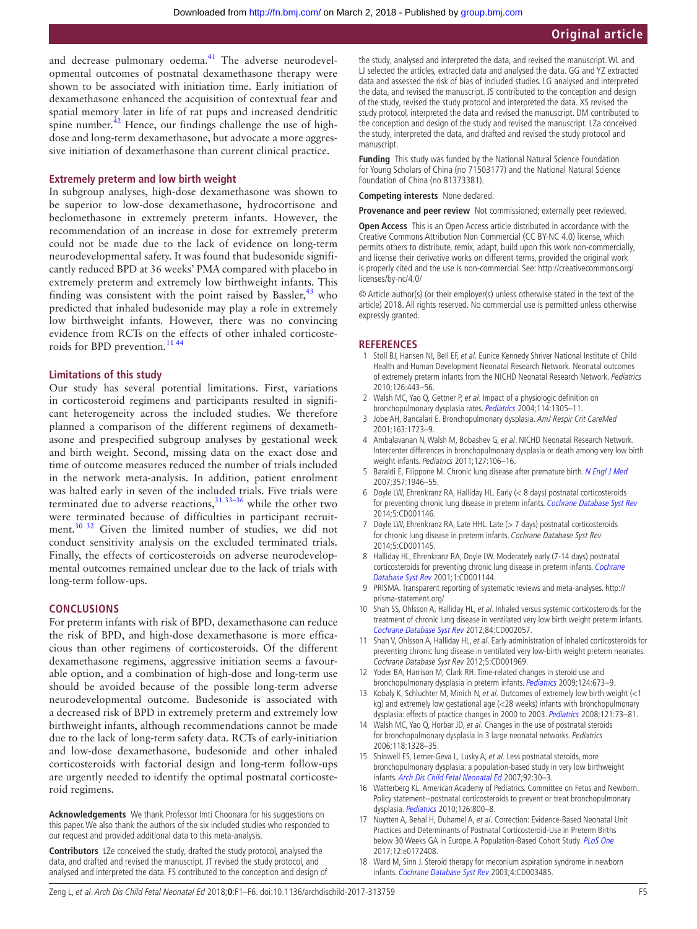and decrease pulmonary oedema.<sup>[41](#page-5-14)</sup> The adverse neurodevelopmental outcomes of postnatal dexamethasone therapy were shown to be associated with initiation time. Early initiation of dexamethasone enhanced the acquisition of contextual fear and spatial memory later in life of rat pups and increased dendritic spine number. $^{42}$  Hence, our findings challenge the use of highdose and long-term dexamethasone, but advocate a more aggressive initiation of dexamethasone than current clinical practice.

#### **Extremely preterm and low birth weight**

In subgroup analyses, high-dose dexamethasone was shown to be superior to low-dose dexamethasone, hydrocortisone and beclomethasone in extremely preterm infants. However, the recommendation of an increase in dose for extremely preterm could not be made due to the lack of evidence on long-term neurodevelopmental safety. It was found that budesonide significantly reduced BPD at 36 weeks' PMA compared with placebo in extremely preterm and extremely low birthweight infants. This finding was consistent with the point raised by Bassler, $43$  who predicted that inhaled budesonide may play a role in extremely low birthweight infants. However, there was no convincing evidence from RCTs on the effects of other inhaled corticosteroids for BPD prevention.<sup>1144</sup>

#### **Limitations of this study**

Our study has several potential limitations. First, variations in corticosteroid regimens and participants resulted in significant heterogeneity across the included studies. We therefore planned a comparison of the different regimens of dexamethasone and prespecified subgroup analyses by gestational week and birth weight. Second, missing data on the exact dose and time of outcome measures reduced the number of trials included in the network meta-analysis. In addition, patient enrolment was halted early in seven of the included trials. Five trials were terminated due to adverse reactions, $31\,33-36$  while the other two were terminated because of difficulties in participant recruitment.<sup>30 32</sup> Given the limited number of studies, we did not conduct sensitivity analysis on the excluded terminated trials. Finally, the effects of corticosteroids on adverse neurodevelopmental outcomes remained unclear due to the lack of trials with long-term follow-ups.

#### **Conclusions**

For preterm infants with risk of BPD, dexamethasone can reduce the risk of BPD, and high-dose dexamethasone is more efficacious than other regimens of corticosteroids. Of the different dexamethasone regimens, aggressive initiation seems a favourable option, and a combination of high-dose and long-term use should be avoided because of the possible long-term adverse neurodevelopmental outcome. Budesonide is associated with a decreased risk of BPD in extremely preterm and extremely low birthweight infants, although recommendations cannot be made due to the lack of long-term safety data. RCTs of early-initiation and low-dose dexamethasone, budesonide and other inhaled corticosteroids with factorial design and long-term follow-ups are urgently needed to identify the optimal postnatal corticosteroid regimens.

**Acknowledgements** We thank Professor Imti Choonara for his suggestions on this paper. We also thank the authors of the six included studies who responded to our request and provided additional data to this meta-analysis.

**Contributors** LZe conceived the study, drafted the study protocol, analysed the data, and drafted and revised the manuscript. JT revised the study protocol, and analysed and interpreted the data. FS contributed to the conception and design of the study, analysed and interpreted the data, and revised the manuscript. WL and LJ selected the articles, extracted data and analysed the data. GG and YZ extracted data and assessed the risk of bias of included studies. LG analysed and interpreted the data, and revised the manuscript. JS contributed to the conception and design of the study, revised the study protocol and interpreted the data. XS revised the study protocol, interpreted the data and revised the manuscript. DM contributed to the conception and design of the study and revised the manuscript. LZa conceived the study, interpreted the data, and drafted and revised the study protocol and manuscript.

**Funding** This study was funded by the National Natural Science Foundation for Young Scholars of China (no 71503177) and the National Natural Science Foundation of China (no 81373381).

**Competing interests** None declared.

**Provenance and peer review** Not commissioned; externally peer reviewed.

**Open Access** This is an Open Access article distributed in accordance with the Creative Commons Attribution Non Commercial (CC BY-NC 4.0) license, which permits others to distribute, remix, adapt, build upon this work non-commercially, and license their derivative works on different terms, provided the original work is properly cited and the use is non-commercial. See: [http://creativecommons.org/](http://creativecommons.org/licenses/by-nc/4.0/) [licenses/by-nc/4.0/](http://creativecommons.org/licenses/by-nc/4.0/)

© Article author(s) (or their employer(s) unless otherwise stated in the text of the article) 2018. All rights reserved. No commercial use is permitted unless otherwise expressly granted.

#### **References**

- <span id="page-4-0"></span>1 Stoll BJ, Hansen NI, Bell EF, et al. Eunice Kennedy Shriver National Institute of Child Health and Human Development Neonatal Research Network. Neonatal outcomes of extremely preterm infants from the NICHD Neonatal Research Network. Pediatrics 2010;126:443–56.
- <span id="page-4-1"></span>2 Walsh MC, Yao Q, Gettner P, et al. Impact of a physiologic definition on bronchopulmonary dysplasia rates. [Pediatrics](http://dx.doi.org/10.1542/peds.2004-0204) 2004;114:1305-11.
- 3 Jobe AH, Bancalari E. Bronchopulmonary dysplasia. AmJ Respir Crit CareMed 2001;163:1723–9.
- 4 Ambalavanan N, Walsh M, Bobashev G, et al. NICHD Neonatal Research Network. Intercenter differences in bronchopulmonary dysplasia or death among very low birth weight infants. Pediatrics 2011;127:106–16.
- <span id="page-4-2"></span>5 Baraldi E, Filippone M. Chronic lung disease after premature birth. [N Engl J Med](http://dx.doi.org/10.1056/NEJMra067279) 2007;357:1946–55.
- <span id="page-4-3"></span>6 Doyle LW, Ehrenkranz RA, Halliday HL. Early (< 8 days) postnatal corticosteroids for preventing chronic lung disease in preterm infants. [Cochrane Database Syst Rev](http://dx.doi.org/10.1002/14651858.CD001146.pub4) 2014;5:CD001146.
- 7 Doyle LW, Ehrenkranz RA, Late HHL. Late (> 7 days) postnatal corticosteroids for chronic lung disease in preterm infants. Cochrane Database Syst Rev 2014;5:CD001145.
- 8 Halliday HL, Ehrenkranz RA, Doyle LW. Moderately early (7-14 days) postnatal corticosteroids for preventing chronic lung disease in preterm infants. Cochrane [Database Syst Rev](http://dx.doi.org/10.1002/14651858.CD001144) 2001;1:CD001144.
- 9 PRISMA. Transparent reporting of systematic reviews and meta-analyses. [http://](http://prisma-statement.org/) [prisma-statement.org/](http://prisma-statement.org/)
- 10 Shah SS, Ohlsson A, Halliday HL, et al. Inhaled versus systemic corticosteroids for the treatment of chronic lung disease in ventilated very low birth weight preterm infants. [Cochrane Database Syst Rev](http://dx.doi.org/10.1002/14651858.CD002057.pub3) 2012;84:CD002057.
- <span id="page-4-8"></span>11 Shah V, Ohlsson A, Halliday HL, et al. Early administration of inhaled corticosteroids for preventing chronic lung disease in ventilated very low-birth weight preterm neonates. Cochrane Database Syst Rev 2012;5:CD001969.
- 12 Yoder BA, Harrison M, Clark RH. Time-related changes in steroid use and bronchopulmonary dysplasia in preterm infants. [Pediatrics](http://dx.doi.org/10.1542/peds.2008-2793) 2009;124:673-9.
- <span id="page-4-4"></span>Kobaly K, Schluchter M, Minich N, et al. Outcomes of extremely low birth weight  $\left\langle \right. <1$ kg) and extremely low gestational age (<28 weeks) infants with bronchopulmonary dysplasia: effects of practice changes in 2000 to 2003. [Pediatrics](http://dx.doi.org/10.1542/peds.2007-1444) 2008;121:73-81.
- 14 Walsh MC, Yao Q, Horbar JD, et al. Changes in the use of postnatal steroids for bronchopulmonary dysplasia in 3 large neonatal networks. Pediatrics 2006;118:1328–35.
- 15 Shinwell ES, Lerner-Geva L, Lusky A, et al. Less postnatal steroids, more bronchopulmonary dysplasia: a population-based study in very low birthweight infants. [Arch Dis Child Fetal Neonatal Ed](http://dx.doi.org/10.1136/adc.2006.094474) 2007;92:30–3.
- <span id="page-4-5"></span>16 Watterberg KL. American Academy of Pediatrics. Committee on Fetus and Newborn. Policy statement--postnatal corticosteroids to prevent or treat bronchopulmonary dysplasia. [Pediatrics](http://dx.doi.org/10.1542/peds.2010-1534) 2010;126:800-8.
- <span id="page-4-6"></span>17 Nuytten A, Behal H, Duhamel A, et al. Correction: Evidence-Based Neonatal Unit Practices and Determinants of Postnatal Corticosteroid-Use in Preterm Births below 30 Weeks GA in Europe. A Population-Based Cohort Study. [PLoS One](http://dx.doi.org/10.1371/journal.pone.0172408) 2017;12:e0172408.
- <span id="page-4-7"></span>18 Ward M, Sinn J. Steroid therapy for meconium aspiration syndrome in newborn infants. [Cochrane Database Syst Rev](http://dx.doi.org/10.1002/14651858.CD003485) 2003;4:CD003485.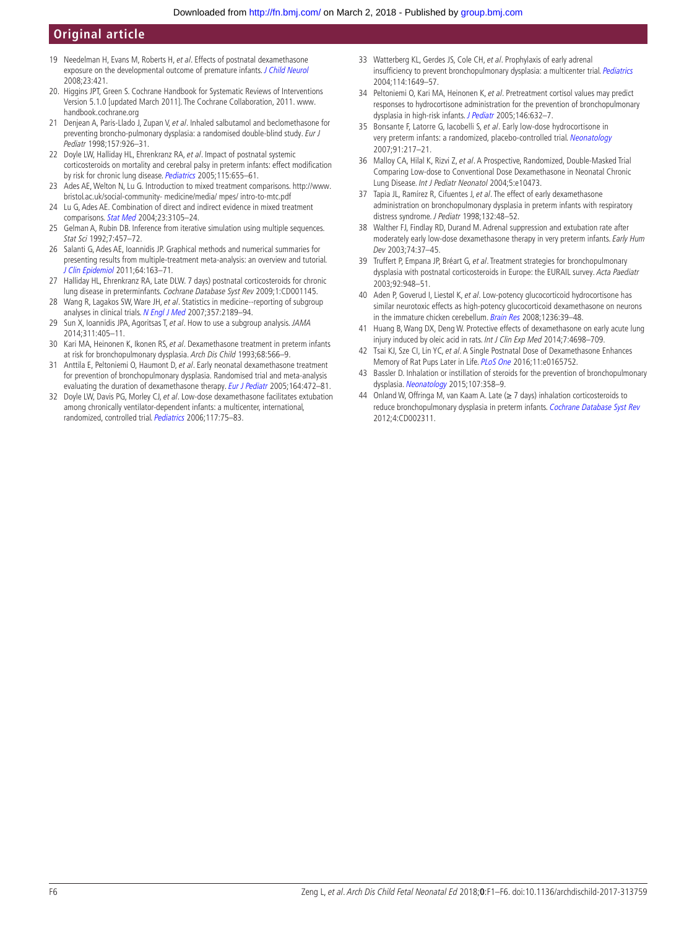- 19 Needelman H, Evans M, Roberts H, et al. Effects of postnatal dexamethasone exposure on the developmental outcome of premature infants. [J Child Neurol](http://dx.doi.org/10.1177/0883073807309232) 2008;23:421.
- <span id="page-5-0"></span>20. Higgins JPT, Green S. Cochrane Handbook for Systematic Reviews of Interventions Version 5.1.0 [updated March 2011]. The Cochrane Collaboration, 2011. [www.](www.handbook.cochrane.org) [handbook.cochrane.org](www.handbook.cochrane.org)
- <span id="page-5-1"></span>21 Denjean A, Paris-Llado J, Zupan V, et al. Inhaled salbutamol and beclomethasone for preventing broncho-pulmonary dysplasia: a randomised double-blind study. Eur J Pediatr 1998;157:926–31.
- <span id="page-5-2"></span>22 Doyle LW, Halliday HL, Ehrenkranz RA, et al. Impact of postnatal systemic corticosteroids on mortality and cerebral palsy in preterm infants: effect modification by risk for chronic lung disease. [Pediatrics](http://dx.doi.org/10.1542/peds.2004-1238) 2005;115:655-61.
- <span id="page-5-3"></span>23 Ades AE, Welton N, Lu G. Introduction to mixed treatment comparisons. [http://www.](http://www.bristol.ac.uk/social-community- medicine/media/ mpes/ intro-to-mtc.pdf) [bristol.ac.uk/social-community- medicine/media/ mpes/ intro-to-mtc.pdf](http://www.bristol.ac.uk/social-community- medicine/media/ mpes/ intro-to-mtc.pdf)
- 24 Lu G, Ades AE. Combination of direct and indirect evidence in mixed treatment comparisons. [Stat Med](http://dx.doi.org/10.1002/sim.1875) 2004;23:3105–24.
- <span id="page-5-4"></span>25 Gelman A, Rubin DB. Inference from iterative simulation using multiple sequences. Stat Sci 1992;7:457–72.
- <span id="page-5-5"></span>26 Salanti G, Ades AE, Ioannidis JP. Graphical methods and numerical summaries for presenting results from multiple-treatment meta-analysis: an overview and tutorial. [J Clin Epidemiol](http://dx.doi.org/10.1016/j.jclinepi.2010.03.016) 2011;64:163–71.
- <span id="page-5-6"></span>27 Halliday HL, Ehrenkranz RA, Late DLW. 7 days) postnatal corticosteroids for chronic lung disease in preterminfants. Cochrane Database Syst Rev 2009;1:CD001145.
- <span id="page-5-7"></span>28 Wang R, Lagakos SW, Ware JH, et al. Statistics in medicine--reporting of subgroup analyses in clinical trials. [N Engl J Med](http://dx.doi.org/10.1056/NEJMsr077003) 2007;357:2189–94.
- <span id="page-5-10"></span>29 Sun X, Ioannidis JPA, Agoritsas T, et al. How to use a subgroup analysis. JAMA 2014;311:405–11.
- <span id="page-5-8"></span>30 Kari MA, Heinonen K, Ikonen RS, et al. Dexamethasone treatment in preterm infants at risk for bronchopulmonary dysplasia. Arch Dis Child 1993;68:566–9.
- <span id="page-5-11"></span>31 Anttila E, Peltoniemi O, Haumont D, et al. Early neonatal dexamethasone treatment for prevention of bronchopulmonary dysplasia. Randomised trial and meta-analysis evaluating the duration of dexamethasone therapy. [Eur J Pediatr](http://dx.doi.org/10.1007/s00431-005-1645-8) 2005;164:472-81.
- 32 Doyle LW, Davis PG, Morley CJ, et al. Low-dose dexamethasone facilitates extubation among chronically ventilator-dependent infants: a multicenter, international, randomized, controlled trial. [Pediatrics](http://dx.doi.org/10.1542/peds.2004-2843) 2006;117:75–83.
- 33 Watterberg KL, Gerdes JS, Cole CH, et al. Prophylaxis of early adrenal insufficiency to prevent bronchopulmonary dysplasia: a multicenter trial. [Pediatrics](http://dx.doi.org/10.1542/peds.2004-1159) 2004;114:1649–57.
- 34 Peltoniemi O, Kari MA, Heinonen K, et al. Pretreatment cortisol values may predict responses to hydrocortisone administration for the prevention of bronchopulmonary dysplasia in high-risk infants. [J Pediatr](http://dx.doi.org/10.1016/j.jpeds.2004.12.040) 2005;146:632–7.
- 35 Bonsante F, Latorre G, Iacobelli S, et al. Early low-dose hydrocortisone in very preterm infants: a randomized, placebo-controlled trial. [Neonatology](http://dx.doi.org/10.1159/000098168) 2007;91:217–21.
- 36 Malloy CA, Hilal K, Rizvi Z, et al. A Prospective, Randomized, Double-Masked Trial Comparing Low-dose to Conventional Dose Dexamethasone in Neonatal Chronic Lung Disease. Int J Pediatr Neonatol 2004;5:e10473.
- <span id="page-5-9"></span>37 Tapia JL, Ramírez R, Cifuentes J, et al. The effect of early dexamethasone administration on bronchopulmonary dysplasia in preterm infants with respiratory distress syndrome. J Pediatr 1998;132:48–52.
- 38 Walther FJ, Findlay RD, Durand M. Adrenal suppression and extubation rate after moderately early low-dose dexamethasone therapy in very preterm infants. Early Hum Dev 2003;74:37–45.
- <span id="page-5-12"></span>39 Truffert P, Empana JP, Bréart G, et al. Treatment strategies for bronchopulmonary dysplasia with postnatal corticosteroids in Europe: the EURAIL survey. Acta Paediatr 2003;92:948–51.
- <span id="page-5-13"></span>40 Aden P, Goverud I, Liestøl K, et al. Low-potency glucocorticoid hydrocortisone has similar neurotoxic effects as high-potency glucocorticoid dexamethasone on neurons in the immature chicken cerebellum. [Brain Res](http://dx.doi.org/10.1016/j.brainres.2008.07.095) 2008;1236:39-48.
- <span id="page-5-14"></span>41 Huang B, Wang DX, Deng W. Protective effects of dexamethasone on early acute lung injury induced by oleic acid in rats. Int J Clin Exp Med 2014;7:4698-709.
- <span id="page-5-15"></span>42 Tsai KJ, Sze CI, Lin YC, et al. A Single Postnatal Dose of Dexamethasone Enhances Memory of Rat Pups Later in Life. [PLoS One](http://dx.doi.org/10.1371/journal.pone.0165752) 2016;11:e0165752.
- <span id="page-5-16"></span>43 Bassler D. Inhalation or instillation of steroids for the prevention of bronchopulmonary dysplasia. [Neonatology](http://dx.doi.org/10.1159/000381132) 2015;107:358-9.
- 44 Onland W, Offringa M, van Kaam A. Late (≥ 7 days) inhalation corticosteroids to reduce bronchopulmonary dysplasia in preterm infants. [Cochrane Database Syst Rev](http://dx.doi.org/10.1002/14651858.CD002311.pub3) 2012;4:CD002311.